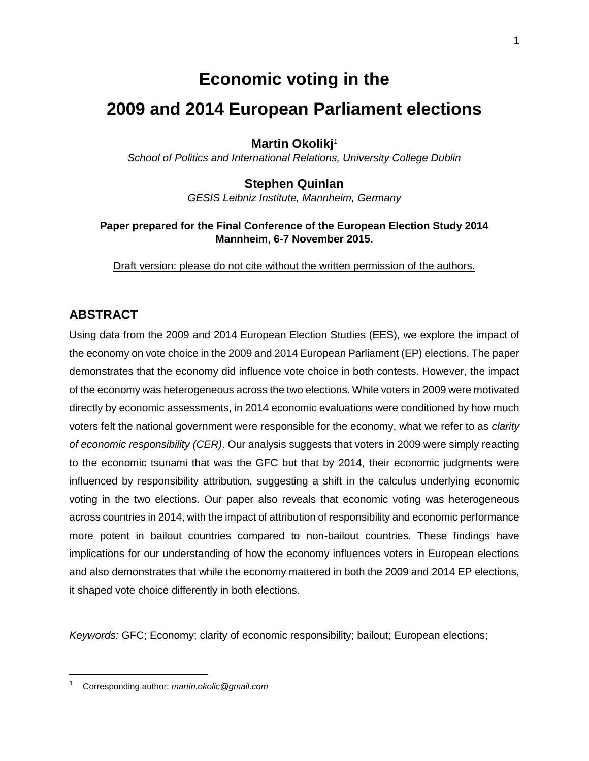# **Economic voting in the**

# **2009 and 2014 European Parliament elections**

**Martin Okolikj**<sup>1</sup>

*School of Politics and International Relations, University College Dublin*

# **Stephen Quinlan**

*GESIS Leibniz Institute, Mannheim, Germany*

## **Paper prepared for the Final Conference of the European Election Study 2014 Mannheim, 6-7 November 2015.**

Draft version: please do not cite without the written permission of the authors.

# **ABSTRACT**

Using data from the 2009 and 2014 European Election Studies (EES), we explore the impact of the economy on vote choice in the 2009 and 2014 European Parliament (EP) elections. The paper demonstrates that the economy did influence vote choice in both contests. However, the impact of the economy was heterogeneous across the two elections. While voters in 2009 were motivated directly by economic assessments, in 2014 economic evaluations were conditioned by how much voters felt the national government were responsible for the economy, what we refer to as *clarity of economic responsibility (CER)*. Our analysis suggests that voters in 2009 were simply reacting to the economic tsunami that was the GFC but that by 2014, their economic judgments were influenced by responsibility attribution, suggesting a shift in the calculus underlying economic voting in the two elections. Our paper also reveals that economic voting was heterogeneous across countries in 2014, with the impact of attribution of responsibility and economic performance more potent in bailout countries compared to non-bailout countries. These findings have implications for our understanding of how the economy influences voters in European elections and also demonstrates that while the economy mattered in both the 2009 and 2014 EP elections, it shaped vote choice differently in both elections.

*Keywords:* GFC; Economy; clarity of economic responsibility; bailout; European elections;

 $\overline{\phantom{a}}$ 

<sup>1</sup> Corresponding author: *[martin.okolic@gmail.com](mailto:martin.okolic@gmail.com)*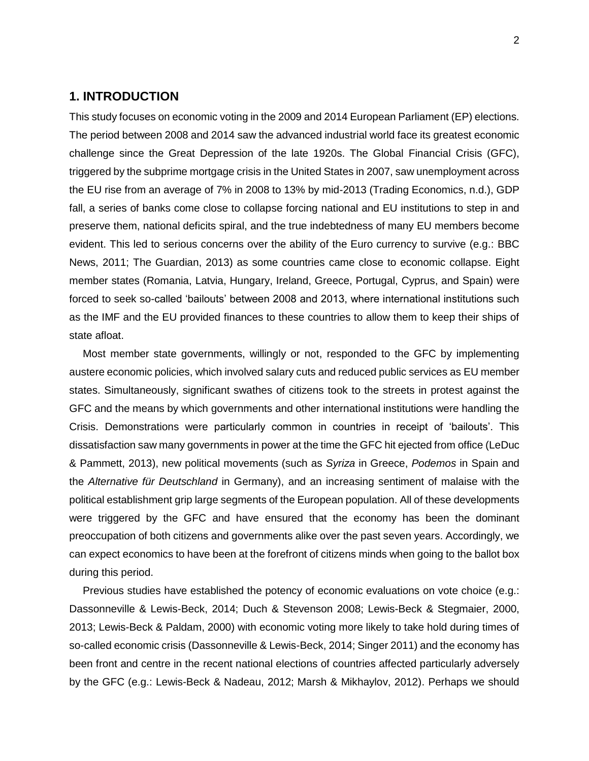## **1. INTRODUCTION**

This study focuses on economic voting in the 2009 and 2014 European Parliament (EP) elections. The period between 2008 and 2014 saw the advanced industrial world face its greatest economic challenge since the Great Depression of the late 1920s. The Global Financial Crisis (GFC), triggered by the subprime mortgage crisis in the United States in 2007, saw unemployment across the EU rise from an average of 7% in 2008 to 13% by mid-2013 (Trading Economics, n.d.), GDP fall, a series of banks come close to collapse forcing national and EU institutions to step in and preserve them, national deficits spiral, and the true indebtedness of many EU members become evident. This led to serious concerns over the ability of the Euro currency to survive (e.g.: BBC News, 2011; The Guardian, 2013) as some countries came close to economic collapse. Eight member states (Romania, Latvia, Hungary, Ireland, Greece, Portugal, Cyprus, and Spain) were forced to seek so-called 'bailouts' between 2008 and 2013, where international institutions such as the IMF and the EU provided finances to these countries to allow them to keep their ships of state afloat.

Most member state governments, willingly or not, responded to the GFC by implementing austere economic policies, which involved salary cuts and reduced public services as EU member states. Simultaneously, significant swathes of citizens took to the streets in protest against the GFC and the means by which governments and other international institutions were handling the Crisis. Demonstrations were particularly common in countries in receipt of 'bailouts'. This dissatisfaction saw many governments in power at the time the GFC hit ejected from office (LeDuc & Pammett, 2013), new political movements (such as *Syriza* in Greece, *Podemos* in Spain and the *Alternative für Deutschland* in Germany), and an increasing sentiment of malaise with the political establishment grip large segments of the European population. All of these developments were triggered by the GFC and have ensured that the economy has been the dominant preoccupation of both citizens and governments alike over the past seven years. Accordingly, we can expect economics to have been at the forefront of citizens minds when going to the ballot box during this period.

Previous studies have established the potency of economic evaluations on vote choice (e.g.: Dassonneville & Lewis-Beck, 2014; Duch & Stevenson 2008; Lewis-Beck & Stegmaier, 2000, 2013; Lewis-Beck & Paldam, 2000) with economic voting more likely to take hold during times of so-called economic crisis (Dassonneville & Lewis-Beck, 2014; Singer 2011) and the economy has been front and centre in the recent national elections of countries affected particularly adversely by the GFC (e.g.: Lewis-Beck & Nadeau, 2012; Marsh & Mikhaylov, 2012). Perhaps we should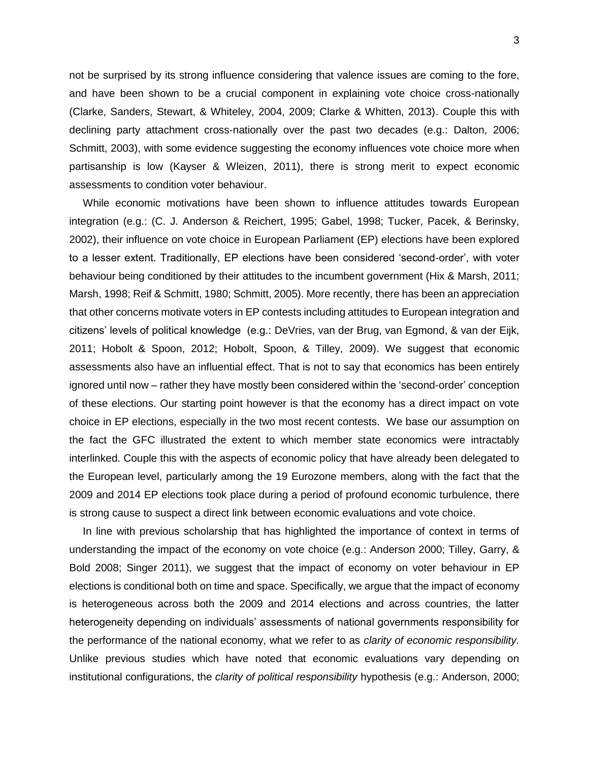not be surprised by its strong influence considering that valence issues are coming to the fore, and have been shown to be a crucial component in explaining vote choice cross-nationally (Clarke, Sanders, Stewart, & Whiteley, 2004, 2009; Clarke & Whitten, 2013). Couple this with declining party attachment cross-nationally over the past two decades (e.g.: Dalton, 2006; Schmitt, 2003), with some evidence suggesting the economy influences vote choice more when partisanship is low (Kayser & Wleizen, 2011), there is strong merit to expect economic assessments to condition voter behaviour.

While economic motivations have been shown to influence attitudes towards European integration (e.g.: (C. J. Anderson & Reichert, 1995; Gabel, 1998; Tucker, Pacek, & Berinsky, 2002), their influence on vote choice in European Parliament (EP) elections have been explored to a lesser extent. Traditionally, EP elections have been considered 'second-order', with voter behaviour being conditioned by their attitudes to the incumbent government (Hix & Marsh, 2011; Marsh, 1998; Reif & Schmitt, 1980; Schmitt, 2005). More recently, there has been an appreciation that other concerns motivate voters in EP contests including attitudes to European integration and citizens' levels of political knowledge (e.g.: DeVries, van der Brug, van Egmond, & van der Eijk, 2011; Hobolt & Spoon, 2012; Hobolt, Spoon, & Tilley, 2009). We suggest that economic assessments also have an influential effect. That is not to say that economics has been entirely ignored until now – rather they have mostly been considered within the 'second-order' conception of these elections. Our starting point however is that the economy has a direct impact on vote choice in EP elections, especially in the two most recent contests. We base our assumption on the fact the GFC illustrated the extent to which member state economics were intractably interlinked. Couple this with the aspects of economic policy that have already been delegated to the European level, particularly among the 19 Eurozone members, along with the fact that the 2009 and 2014 EP elections took place during a period of profound economic turbulence, there is strong cause to suspect a direct link between economic evaluations and vote choice.

In line with previous scholarship that has highlighted the importance of context in terms of understanding the impact of the economy on vote choice (e.g.: Anderson 2000; Tilley, Garry, & Bold 2008; Singer 2011), we suggest that the impact of economy on voter behaviour in EP elections is conditional both on time and space. Specifically, we argue that the impact of economy is heterogeneous across both the 2009 and 2014 elections and across countries, the latter heterogeneity depending on individuals' assessments of national governments responsibility for the performance of the national economy, what we refer to as *clarity of economic responsibility.*  Unlike previous studies which have noted that economic evaluations vary depending on institutional configurations, the *clarity of political responsibility* hypothesis (e.g.: Anderson, 2000;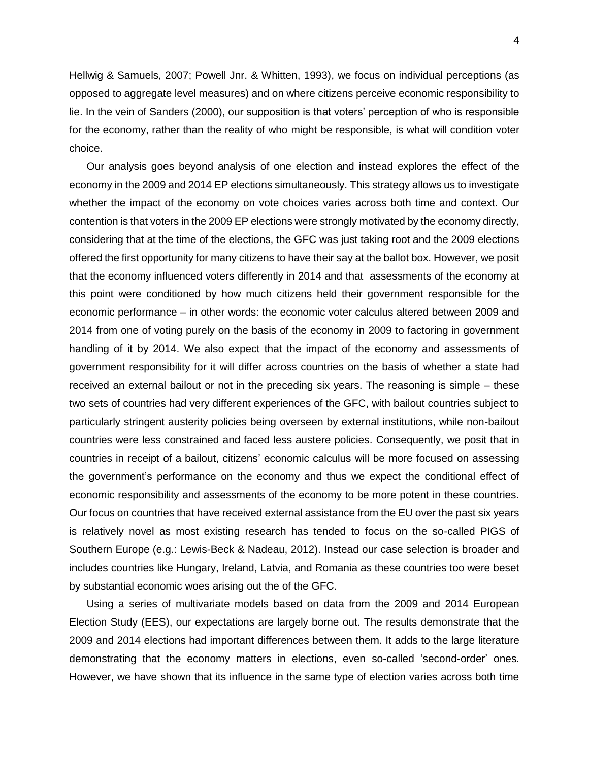Hellwig & Samuels, 2007; Powell Jnr. & Whitten, 1993), we focus on individual perceptions (as opposed to aggregate level measures) and on where citizens perceive economic responsibility to lie. In the vein of Sanders (2000), our supposition is that voters' perception of who is responsible for the economy, rather than the reality of who might be responsible, is what will condition voter choice.

Our analysis goes beyond analysis of one election and instead explores the effect of the economy in the 2009 and 2014 EP elections simultaneously. This strategy allows us to investigate whether the impact of the economy on vote choices varies across both time and context. Our contention is that voters in the 2009 EP elections were strongly motivated by the economy directly, considering that at the time of the elections, the GFC was just taking root and the 2009 elections offered the first opportunity for many citizens to have their say at the ballot box. However, we posit that the economy influenced voters differently in 2014 and that assessments of the economy at this point were conditioned by how much citizens held their government responsible for the economic performance – in other words: the economic voter calculus altered between 2009 and 2014 from one of voting purely on the basis of the economy in 2009 to factoring in government handling of it by 2014. We also expect that the impact of the economy and assessments of government responsibility for it will differ across countries on the basis of whether a state had received an external bailout or not in the preceding six years. The reasoning is simple – these two sets of countries had very different experiences of the GFC, with bailout countries subject to particularly stringent austerity policies being overseen by external institutions, while non-bailout countries were less constrained and faced less austere policies. Consequently, we posit that in countries in receipt of a bailout, citizens' economic calculus will be more focused on assessing the government's performance on the economy and thus we expect the conditional effect of economic responsibility and assessments of the economy to be more potent in these countries. Our focus on countries that have received external assistance from the EU over the past six years is relatively novel as most existing research has tended to focus on the so-called PIGS of Southern Europe (e.g.: Lewis-Beck & Nadeau, 2012). Instead our case selection is broader and includes countries like Hungary, Ireland, Latvia, and Romania as these countries too were beset by substantial economic woes arising out the of the GFC.

Using a series of multivariate models based on data from the 2009 and 2014 European Election Study (EES), our expectations are largely borne out. The results demonstrate that the 2009 and 2014 elections had important differences between them. It adds to the large literature demonstrating that the economy matters in elections, even so-called 'second-order' ones. However, we have shown that its influence in the same type of election varies across both time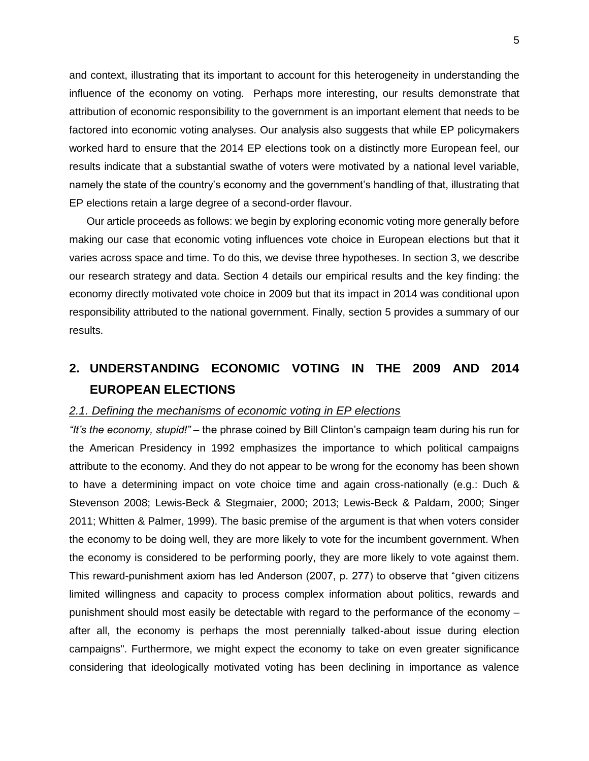and context, illustrating that its important to account for this heterogeneity in understanding the influence of the economy on voting. Perhaps more interesting, our results demonstrate that attribution of economic responsibility to the government is an important element that needs to be factored into economic voting analyses. Our analysis also suggests that while EP policymakers worked hard to ensure that the 2014 EP elections took on a distinctly more European feel, our results indicate that a substantial swathe of voters were motivated by a national level variable, namely the state of the country's economy and the government's handling of that, illustrating that EP elections retain a large degree of a second-order flavour.

Our article proceeds as follows: we begin by exploring economic voting more generally before making our case that economic voting influences vote choice in European elections but that it varies across space and time. To do this, we devise three hypotheses. In section 3, we describe our research strategy and data. Section 4 details our empirical results and the key finding: the economy directly motivated vote choice in 2009 but that its impact in 2014 was conditional upon responsibility attributed to the national government. Finally, section 5 provides a summary of our results.

# **2. UNDERSTANDING ECONOMIC VOTING IN THE 2009 AND 2014 EUROPEAN ELECTIONS**

#### *2.1. Defining the mechanisms of economic voting in EP elections*

*"It's the economy, stupid!"* – the phrase coined by Bill Clinton's campaign team during his run for the American Presidency in 1992 emphasizes the importance to which political campaigns attribute to the economy. And they do not appear to be wrong for the economy has been shown to have a determining impact on vote choice time and again cross-nationally (e.g.: Duch & Stevenson 2008; Lewis-Beck & Stegmaier, 2000; 2013; Lewis-Beck & Paldam, 2000; Singer 2011; Whitten & Palmer, 1999). The basic premise of the argument is that when voters consider the economy to be doing well, they are more likely to vote for the incumbent government. When the economy is considered to be performing poorly, they are more likely to vote against them. This reward-punishment axiom has led Anderson (2007, p. 277) to observe that "given citizens limited willingness and capacity to process complex information about politics, rewards and punishment should most easily be detectable with regard to the performance of the economy – after all, the economy is perhaps the most perennially talked-about issue during election campaigns". Furthermore, we might expect the economy to take on even greater significance considering that ideologically motivated voting has been declining in importance as valence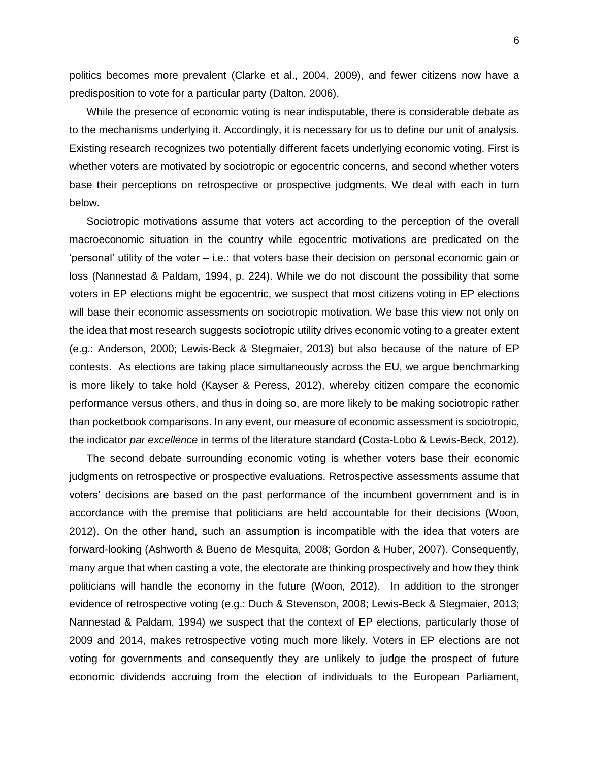politics becomes more prevalent (Clarke et al., 2004, 2009), and fewer citizens now have a predisposition to vote for a particular party (Dalton, 2006).

While the presence of economic voting is near indisputable, there is considerable debate as to the mechanisms underlying it. Accordingly, it is necessary for us to define our unit of analysis. Existing research recognizes two potentially different facets underlying economic voting. First is whether voters are motivated by sociotropic or egocentric concerns, and second whether voters base their perceptions on retrospective or prospective judgments. We deal with each in turn below.

Sociotropic motivations assume that voters act according to the perception of the overall macroeconomic situation in the country while egocentric motivations are predicated on the 'personal' utility of the voter – i.e.: that voters base their decision on personal economic gain or loss (Nannestad & Paldam, 1994, p. 224). While we do not discount the possibility that some voters in EP elections might be egocentric, we suspect that most citizens voting in EP elections will base their economic assessments on sociotropic motivation. We base this view not only on the idea that most research suggests sociotropic utility drives economic voting to a greater extent (e.g.: Anderson, 2000; Lewis-Beck & Stegmaier, 2013) but also because of the nature of EP contests. As elections are taking place simultaneously across the EU, we argue benchmarking is more likely to take hold (Kayser & Peress, 2012), whereby citizen compare the economic performance versus others, and thus in doing so, are more likely to be making sociotropic rather than pocketbook comparisons. In any event, our measure of economic assessment is sociotropic, the indicator *par excellence* in terms of the literature standard (Costa-Lobo & Lewis-Beck, 2012).

The second debate surrounding economic voting is whether voters base their economic judgments on retrospective or prospective evaluations. Retrospective assessments assume that voters' decisions are based on the past performance of the incumbent government and is in accordance with the premise that politicians are held accountable for their decisions (Woon, 2012). On the other hand, such an assumption is incompatible with the idea that voters are forward-looking (Ashworth & Bueno de Mesquita, 2008; Gordon & Huber, 2007). Consequently, many argue that when casting a vote, the electorate are thinking prospectively and how they think politicians will handle the economy in the future (Woon, 2012). In addition to the stronger evidence of retrospective voting (e.g.: Duch & Stevenson, 2008; Lewis-Beck & Stegmaier, 2013; Nannestad & Paldam, 1994) we suspect that the context of EP elections, particularly those of 2009 and 2014, makes retrospective voting much more likely. Voters in EP elections are not voting for governments and consequently they are unlikely to judge the prospect of future economic dividends accruing from the election of individuals to the European Parliament,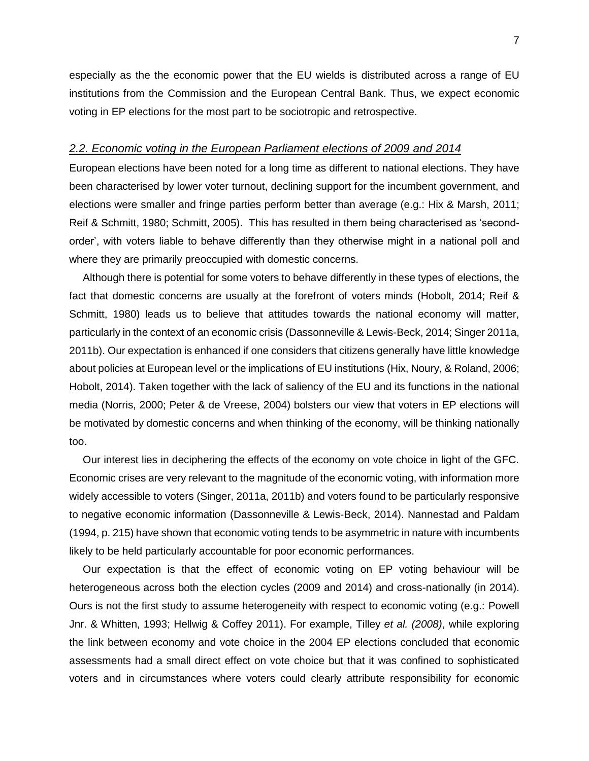especially as the the economic power that the EU wields is distributed across a range of EU institutions from the Commission and the European Central Bank. Thus, we expect economic voting in EP elections for the most part to be sociotropic and retrospective.

#### *2.2. Economic voting in the European Parliament elections of 2009 and 2014*

European elections have been noted for a long time as different to national elections. They have been characterised by lower voter turnout, declining support for the incumbent government, and elections were smaller and fringe parties perform better than average (e.g.: Hix & Marsh, 2011; Reif & Schmitt, 1980; Schmitt, 2005). This has resulted in them being characterised as 'secondorder', with voters liable to behave differently than they otherwise might in a national poll and where they are primarily preoccupied with domestic concerns.

Although there is potential for some voters to behave differently in these types of elections, the fact that domestic concerns are usually at the forefront of voters minds (Hobolt, 2014; Reif & Schmitt, 1980) leads us to believe that attitudes towards the national economy will matter, particularly in the context of an economic crisis (Dassonneville & Lewis-Beck, 2014; Singer 2011a, 2011b). Our expectation is enhanced if one considers that citizens generally have little knowledge about policies at European level or the implications of EU institutions (Hix, Noury, & Roland, 2006; Hobolt, 2014). Taken together with the lack of saliency of the EU and its functions in the national media (Norris, 2000; Peter & de Vreese, 2004) bolsters our view that voters in EP elections will be motivated by domestic concerns and when thinking of the economy, will be thinking nationally too.

Our interest lies in deciphering the effects of the economy on vote choice in light of the GFC. Economic crises are very relevant to the magnitude of the economic voting, with information more widely accessible to voters (Singer, 2011a, 2011b) and voters found to be particularly responsive to negative economic information (Dassonneville & Lewis-Beck, 2014). Nannestad and Paldam (1994, p. 215) have shown that economic voting tends to be asymmetric in nature with incumbents likely to be held particularly accountable for poor economic performances.

Our expectation is that the effect of economic voting on EP voting behaviour will be heterogeneous across both the election cycles (2009 and 2014) and cross-nationally (in 2014). Ours is not the first study to assume heterogeneity with respect to economic voting (e.g.: Powell Jnr. & Whitten, 1993; Hellwig & Coffey 2011). For example, Tilley *et al. (2008)*, while exploring the link between economy and vote choice in the 2004 EP elections concluded that economic assessments had a small direct effect on vote choice but that it was confined to sophisticated voters and in circumstances where voters could clearly attribute responsibility for economic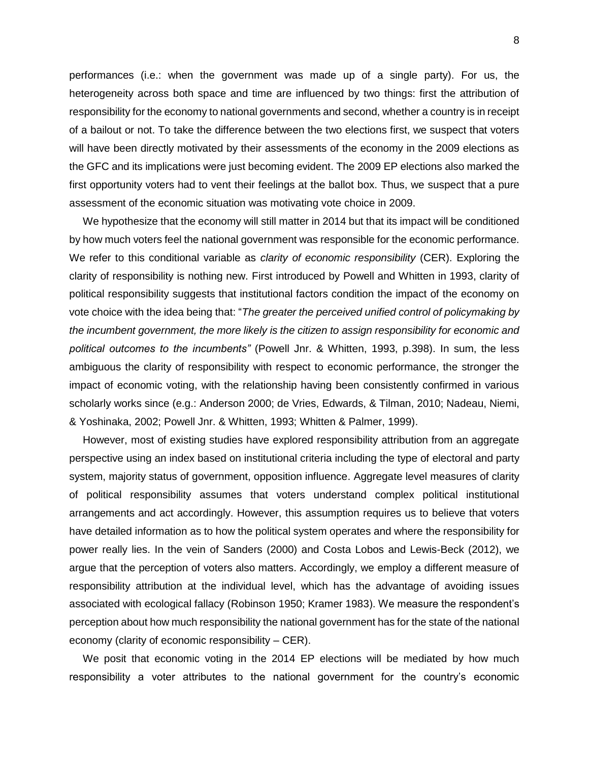performances (i.e.: when the government was made up of a single party). For us, the heterogeneity across both space and time are influenced by two things: first the attribution of responsibility for the economy to national governments and second, whether a country is in receipt of a bailout or not. To take the difference between the two elections first, we suspect that voters will have been directly motivated by their assessments of the economy in the 2009 elections as the GFC and its implications were just becoming evident. The 2009 EP elections also marked the first opportunity voters had to vent their feelings at the ballot box. Thus, we suspect that a pure assessment of the economic situation was motivating vote choice in 2009.

We hypothesize that the economy will still matter in 2014 but that its impact will be conditioned by how much voters feel the national government was responsible for the economic performance. We refer to this conditional variable as *clarity of economic responsibility* (CER). Exploring the clarity of responsibility is nothing new. First introduced by Powell and Whitten in 1993, clarity of political responsibility suggests that institutional factors condition the impact of the economy on vote choice with the idea being that: "*The greater the perceived unified control of policymaking by the incumbent government, the more likely is the citizen to assign responsibility for economic and political outcomes to the incumbents"* (Powell Jnr. & Whitten, 1993, p.398). In sum, the less ambiguous the clarity of responsibility with respect to economic performance, the stronger the impact of economic voting, with the relationship having been consistently confirmed in various scholarly works since (e.g.: Anderson 2000; de Vries, Edwards, & Tilman, 2010; Nadeau, Niemi, & Yoshinaka, 2002; Powell Jnr. & Whitten, 1993; Whitten & Palmer, 1999).

However, most of existing studies have explored responsibility attribution from an aggregate perspective using an index based on institutional criteria including the type of electoral and party system, majority status of government, opposition influence. Aggregate level measures of clarity of political responsibility assumes that voters understand complex political institutional arrangements and act accordingly. However, this assumption requires us to believe that voters have detailed information as to how the political system operates and where the responsibility for power really lies. In the vein of Sanders (2000) and Costa Lobos and Lewis-Beck (2012), we argue that the perception of voters also matters. Accordingly, we employ a different measure of responsibility attribution at the individual level, which has the advantage of avoiding issues associated with ecological fallacy (Robinson 1950; Kramer 1983). We measure the respondent's perception about how much responsibility the national government has for the state of the national economy (clarity of economic responsibility – CER).

We posit that economic voting in the 2014 EP elections will be mediated by how much responsibility a voter attributes to the national government for the country's economic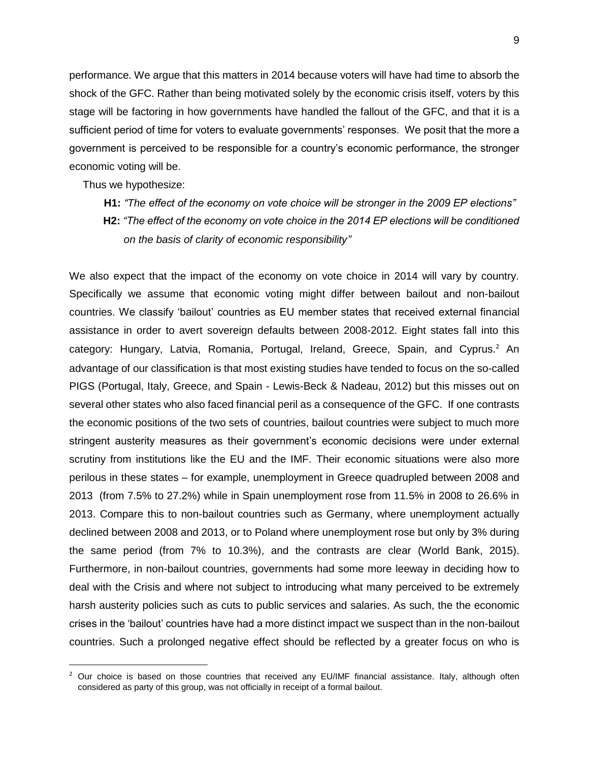performance. We argue that this matters in 2014 because voters will have had time to absorb the shock of the GFC. Rather than being motivated solely by the economic crisis itself, voters by this stage will be factoring in how governments have handled the fallout of the GFC, and that it is a sufficient period of time for voters to evaluate governments' responses. We posit that the more a government is perceived to be responsible for a country's economic performance, the stronger economic voting will be.

Thus we hypothesize:

 $\overline{a}$ 

- **H1:** *"The effect of the economy on vote choice will be stronger in the 2009 EP elections"*
- **H2:** *"The effect of the economy on vote choice in the 2014 EP elections will be conditioned on the basis of clarity of economic responsibility"*

We also expect that the impact of the economy on vote choice in 2014 will vary by country. Specifically we assume that economic voting might differ between bailout and non-bailout countries. We classify 'bailout' countries as EU member states that received external financial assistance in order to avert sovereign defaults between 2008-2012. Eight states fall into this category: Hungary, Latvia, Romania, Portugal, Ireland, Greece, Spain, and Cyprus.<sup>2</sup> An advantage of our classification is that most existing studies have tended to focus on the so-called PIGS (Portugal, Italy, Greece, and Spain - Lewis-Beck & Nadeau, 2012) but this misses out on several other states who also faced financial peril as a consequence of the GFC. If one contrasts the economic positions of the two sets of countries, bailout countries were subject to much more stringent austerity measures as their government's economic decisions were under external scrutiny from institutions like the EU and the IMF. Their economic situations were also more perilous in these states – for example, unemployment in Greece quadrupled between 2008 and 2013 (from 7.5% to 27.2%) while in Spain unemployment rose from 11.5% in 2008 to 26.6% in 2013. Compare this to non-bailout countries such as Germany, where unemployment actually declined between 2008 and 2013, or to Poland where unemployment rose but only by 3% during the same period (from 7% to 10.3%), and the contrasts are clear (World Bank, 2015). Furthermore, in non-bailout countries, governments had some more leeway in deciding how to deal with the Crisis and where not subject to introducing what many perceived to be extremely harsh austerity policies such as cuts to public services and salaries. As such, the the economic crises in the 'bailout' countries have had a more distinct impact we suspect than in the non-bailout countries. Such a prolonged negative effect should be reflected by a greater focus on who is

 $2$  Our choice is based on those countries that received any EU/IMF financial assistance. Italy, although often considered as party of this group, was not officially in receipt of a formal bailout.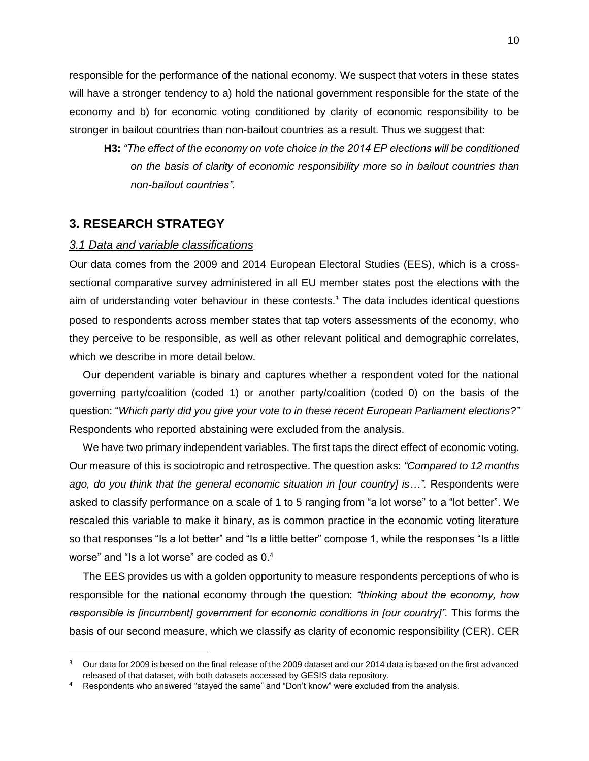responsible for the performance of the national economy. We suspect that voters in these states will have a stronger tendency to a) hold the national government responsible for the state of the economy and b) for economic voting conditioned by clarity of economic responsibility to be stronger in bailout countries than non-bailout countries as a result. Thus we suggest that:

**H3:** *"The effect of the economy on vote choice in the 2014 EP elections will be conditioned on the basis of clarity of economic responsibility more so in bailout countries than non-bailout countries".* 

### **3. RESEARCH STRATEGY**

 $\overline{\phantom{a}}$ 

#### *3.1 Data and variable classifications*

Our data comes from the 2009 and 2014 European Electoral Studies (EES), which is a crosssectional comparative survey administered in all EU member states post the elections with the aim of understanding voter behaviour in these contests. <sup>3</sup> The data includes identical questions posed to respondents across member states that tap voters assessments of the economy, who they perceive to be responsible, as well as other relevant political and demographic correlates, which we describe in more detail below.

Our dependent variable is binary and captures whether a respondent voted for the national governing party/coalition (coded 1) or another party/coalition (coded 0) on the basis of the question: "*Which party did you give your vote to in these recent European Parliament elections?"*  Respondents who reported abstaining were excluded from the analysis.

We have two primary independent variables. The first taps the direct effect of economic voting. Our measure of this is sociotropic and retrospective. The question asks: *"Compared to 12 months ago, do you think that the general economic situation in [our country] is...*". Respondents were asked to classify performance on a scale of 1 to 5 ranging from "a lot worse" to a "lot better". We rescaled this variable to make it binary, as is common practice in the economic voting literature so that responses "Is a lot better" and "Is a little better" compose 1, while the responses "Is a little worse" and "Is a lot worse" are coded as 0. 4

The EES provides us with a golden opportunity to measure respondents perceptions of who is responsible for the national economy through the question: *"thinking about the economy, how*  responsible is [incumbent] government for economic conditions in [our country]". This forms the basis of our second measure, which we classify as clarity of economic responsibility (CER). CER

 $3$  Our data for 2009 is based on the final release of the 2009 dataset and our 2014 data is based on the first advanced released of that dataset, with both datasets accessed by GESIS data repository.

Respondents who answered "stayed the same" and "Don't know" were excluded from the analysis.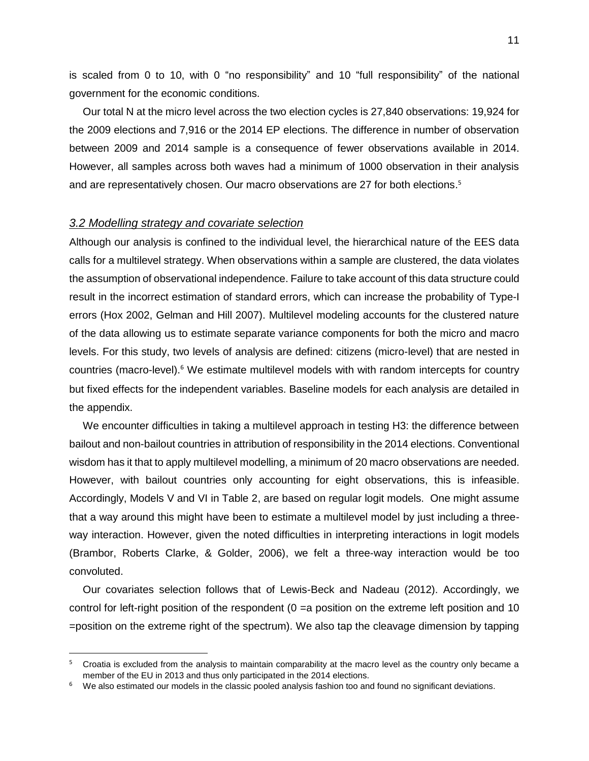is scaled from 0 to 10, with 0 "no responsibility" and 10 "full responsibility" of the national government for the economic conditions.

Our total N at the micro level across the two election cycles is 27,840 observations: 19,924 for the 2009 elections and 7,916 or the 2014 EP elections. The difference in number of observation between 2009 and 2014 sample is a consequence of fewer observations available in 2014. However, all samples across both waves had a minimum of 1000 observation in their analysis and are representatively chosen. Our macro observations are 27 for both elections. 5

#### *3.2 Modelling strategy and covariate selection*

 $\overline{\phantom{a}}$ 

Although our analysis is confined to the individual level, the hierarchical nature of the EES data calls for a multilevel strategy. When observations within a sample are clustered, the data violates the assumption of observational independence. Failure to take account of this data structure could result in the incorrect estimation of standard errors, which can increase the probability of Type-I errors (Hox 2002, Gelman and Hill 2007). Multilevel modeling accounts for the clustered nature of the data allowing us to estimate separate variance components for both the micro and macro levels. For this study, two levels of analysis are defined: citizens (micro-level) that are nested in countries (macro-level).<sup>6</sup> We estimate multilevel models with with random intercepts for country but fixed effects for the independent variables. Baseline models for each analysis are detailed in the appendix.

We encounter difficulties in taking a multilevel approach in testing H3: the difference between bailout and non-bailout countries in attribution of responsibility in the 2014 elections. Conventional wisdom has it that to apply multilevel modelling, a minimum of 20 macro observations are needed. However, with bailout countries only accounting for eight observations, this is infeasible. Accordingly, Models V and VI in Table 2, are based on regular logit models. One might assume that a way around this might have been to estimate a multilevel model by just including a threeway interaction. However, given the noted difficulties in interpreting interactions in logit models (Brambor, Roberts Clarke, & Golder, 2006), we felt a three-way interaction would be too convoluted.

Our covariates selection follows that of Lewis-Beck and Nadeau (2012). Accordingly, we control for left-right position of the respondent (0 =a position on the extreme left position and 10 =position on the extreme right of the spectrum). We also tap the cleavage dimension by tapping

<sup>&</sup>lt;sup>5</sup> Croatia is excluded from the analysis to maintain comparability at the macro level as the country only became a member of the EU in 2013 and thus only participated in the 2014 elections.

 $6$  We also estimated our models in the classic pooled analysis fashion too and found no significant deviations.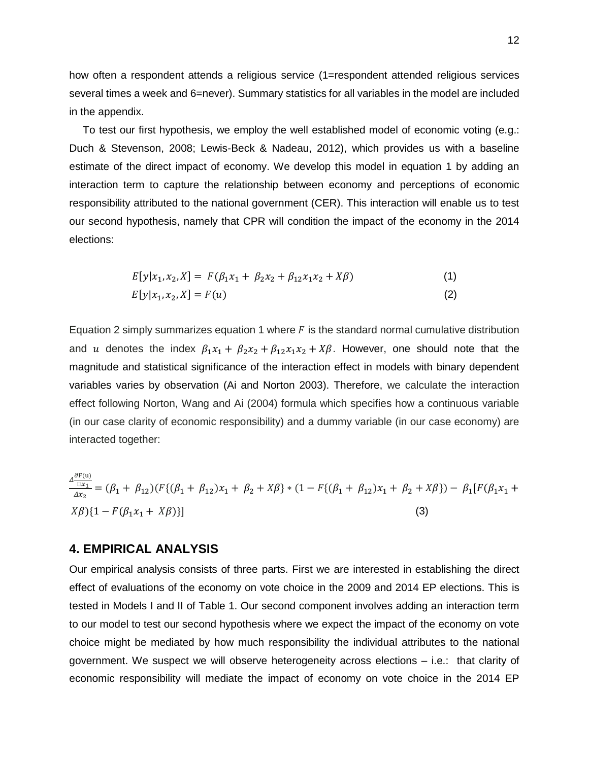how often a respondent attends a religious service (1=respondent attended religious services several times a week and 6=never). Summary statistics for all variables in the model are included in the appendix.

To test our first hypothesis, we employ the well established model of economic voting (e.g.: Duch & Stevenson, 2008; Lewis-Beck & Nadeau, 2012), which provides us with a baseline estimate of the direct impact of economy. We develop this model in equation 1 by adding an interaction term to capture the relationship between economy and perceptions of economic responsibility attributed to the national government (CER). This interaction will enable us to test our second hypothesis, namely that CPR will condition the impact of the economy in the 2014 elections:

$$
E[y|x_1, x_2, X] = F(\beta_1 x_1 + \beta_2 x_2 + \beta_{12} x_1 x_2 + X\beta)
$$
\n(1)

$$
E[y|x_1, x_2, X] = F(u)
$$
 (2)

Equation 2 simply summarizes equation 1 where  $F$  is the standard normal cumulative distribution and u denotes the index  $\beta_1 x_1 + \beta_2 x_2 + \beta_{12} x_1 x_2 + X\beta$ . However, one should note that the magnitude and statistical significance of the interaction effect in models with binary dependent variables varies by observation (Ai and Norton 2003). Therefore, we calculate the interaction effect following Norton, Wang and Ai (2004) formula which specifies how a continuous variable (in our case clarity of economic responsibility) and a dummy variable (in our case economy) are interacted together:

 $\Delta \frac{\partial F(u)}{\partial x}$  $\mathbb{Z}_1$  $\frac{\Delta x_1}{\Delta x_2} = (\beta_1 + \beta_{12})(F\{(\beta_1 + \beta_{12})x_1 + \beta_2 + X\beta\} * (1 - F\{(\beta_1 + \beta_{12})x_1 + \beta_2 + X\beta\}) - \beta_1[F(\beta_1x_1 + \beta_2x_1 + \beta_2 + X\beta\} + \beta_1F(\beta_1x_1 + \beta_2x_1 + \beta_2x_1 + \beta_2x_1 + \beta_2x_1 + \beta_1x_1 + \beta_2x_1 + \beta_1x_1 + \beta_1x_1 + \beta_1x_1 + \beta_1x_1 + \beta_1x_1 +$  $(X\beta)\{1 - F(\beta_1 x_1 + X\beta)\}\$  (3)

### **4. EMPIRICAL ANALYSIS**

Our empirical analysis consists of three parts. First we are interested in establishing the direct effect of evaluations of the economy on vote choice in the 2009 and 2014 EP elections. This is tested in Models I and II of Table 1. Our second component involves adding an interaction term to our model to test our second hypothesis where we expect the impact of the economy on vote choice might be mediated by how much responsibility the individual attributes to the national government. We suspect we will observe heterogeneity across elections – i.e.: that clarity of economic responsibility will mediate the impact of economy on vote choice in the 2014 EP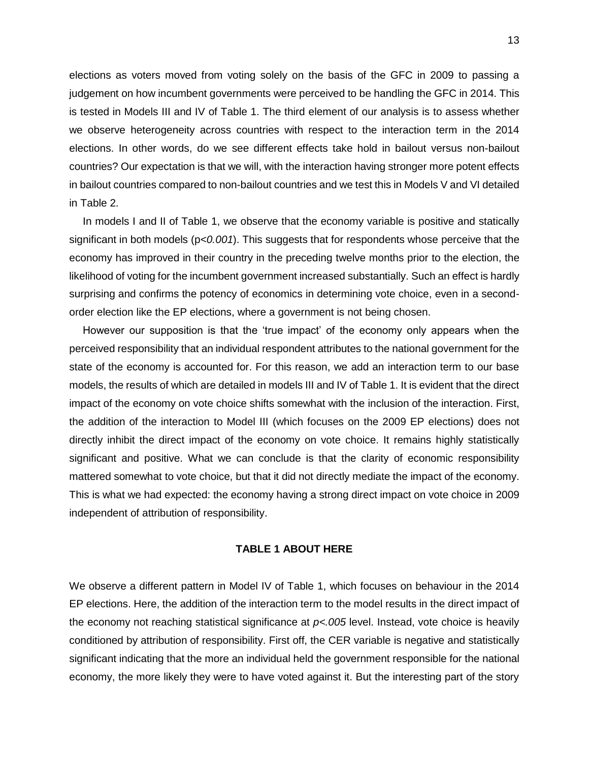elections as voters moved from voting solely on the basis of the GFC in 2009 to passing a judgement on how incumbent governments were perceived to be handling the GFC in 2014. This is tested in Models III and IV of Table 1. The third element of our analysis is to assess whether we observe heterogeneity across countries with respect to the interaction term in the 2014 elections. In other words, do we see different effects take hold in bailout versus non-bailout countries? Our expectation is that we will, with the interaction having stronger more potent effects in bailout countries compared to non-bailout countries and we test this in Models V and VI detailed in Table 2.

In models I and II of Table 1, we observe that the economy variable is positive and statically significant in both models (p*<0.001*). This suggests that for respondents whose perceive that the economy has improved in their country in the preceding twelve months prior to the election, the likelihood of voting for the incumbent government increased substantially. Such an effect is hardly surprising and confirms the potency of economics in determining vote choice, even in a secondorder election like the EP elections, where a government is not being chosen.

However our supposition is that the 'true impact' of the economy only appears when the perceived responsibility that an individual respondent attributes to the national government for the state of the economy is accounted for. For this reason, we add an interaction term to our base models, the results of which are detailed in models III and IV of Table 1. It is evident that the direct impact of the economy on vote choice shifts somewhat with the inclusion of the interaction. First, the addition of the interaction to Model III (which focuses on the 2009 EP elections) does not directly inhibit the direct impact of the economy on vote choice. It remains highly statistically significant and positive. What we can conclude is that the clarity of economic responsibility mattered somewhat to vote choice, but that it did not directly mediate the impact of the economy. This is what we had expected: the economy having a strong direct impact on vote choice in 2009 independent of attribution of responsibility.

#### **TABLE 1 ABOUT HERE**

We observe a different pattern in Model IV of Table 1, which focuses on behaviour in the 2014 EP elections. Here, the addition of the interaction term to the model results in the direct impact of the economy not reaching statistical significance at *p<.005* level. Instead, vote choice is heavily conditioned by attribution of responsibility. First off, the CER variable is negative and statistically significant indicating that the more an individual held the government responsible for the national economy, the more likely they were to have voted against it. But the interesting part of the story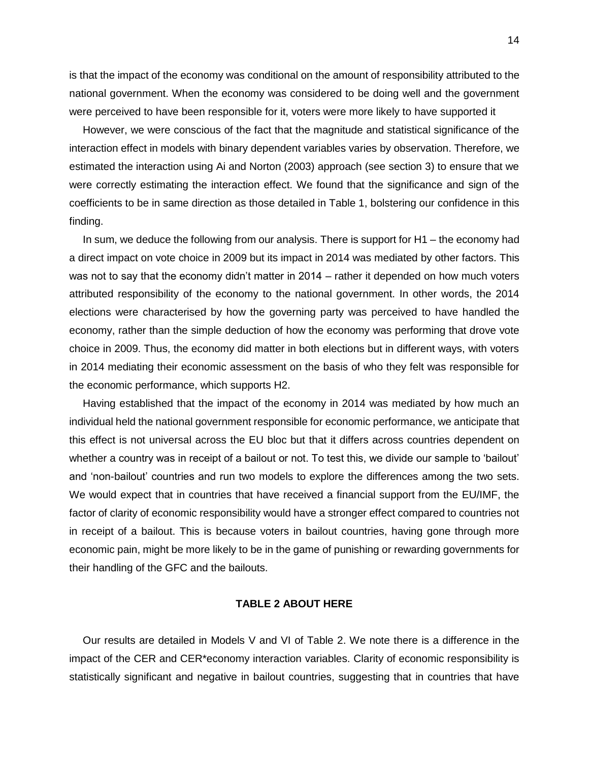is that the impact of the economy was conditional on the amount of responsibility attributed to the national government. When the economy was considered to be doing well and the government were perceived to have been responsible for it, voters were more likely to have supported it

However, we were conscious of the fact that the magnitude and statistical significance of the interaction effect in models with binary dependent variables varies by observation. Therefore, we estimated the interaction using Ai and Norton (2003) approach (see section 3) to ensure that we were correctly estimating the interaction effect. We found that the significance and sign of the coefficients to be in same direction as those detailed in Table 1, bolstering our confidence in this finding.

In sum, we deduce the following from our analysis. There is support for H1 – the economy had a direct impact on vote choice in 2009 but its impact in 2014 was mediated by other factors. This was not to say that the economy didn't matter in 2014 – rather it depended on how much voters attributed responsibility of the economy to the national government. In other words, the 2014 elections were characterised by how the governing party was perceived to have handled the economy, rather than the simple deduction of how the economy was performing that drove vote choice in 2009. Thus, the economy did matter in both elections but in different ways, with voters in 2014 mediating their economic assessment on the basis of who they felt was responsible for the economic performance, which supports H2.

Having established that the impact of the economy in 2014 was mediated by how much an individual held the national government responsible for economic performance, we anticipate that this effect is not universal across the EU bloc but that it differs across countries dependent on whether a country was in receipt of a bailout or not. To test this, we divide our sample to 'bailout' and 'non-bailout' countries and run two models to explore the differences among the two sets. We would expect that in countries that have received a financial support from the EU/IMF, the factor of clarity of economic responsibility would have a stronger effect compared to countries not in receipt of a bailout. This is because voters in bailout countries, having gone through more economic pain, might be more likely to be in the game of punishing or rewarding governments for their handling of the GFC and the bailouts.

### **TABLE 2 ABOUT HERE**

Our results are detailed in Models V and VI of Table 2. We note there is a difference in the impact of the CER and CER\*economy interaction variables. Clarity of economic responsibility is statistically significant and negative in bailout countries, suggesting that in countries that have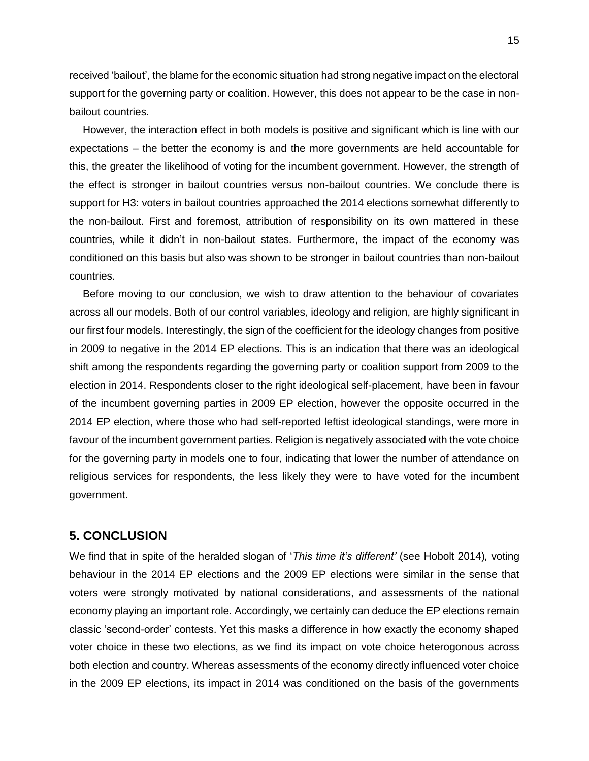received 'bailout', the blame for the economic situation had strong negative impact on the electoral support for the governing party or coalition. However, this does not appear to be the case in nonbailout countries.

However, the interaction effect in both models is positive and significant which is line with our expectations – the better the economy is and the more governments are held accountable for this, the greater the likelihood of voting for the incumbent government. However, the strength of the effect is stronger in bailout countries versus non-bailout countries. We conclude there is support for H3: voters in bailout countries approached the 2014 elections somewhat differently to the non-bailout. First and foremost, attribution of responsibility on its own mattered in these countries, while it didn't in non-bailout states. Furthermore, the impact of the economy was conditioned on this basis but also was shown to be stronger in bailout countries than non-bailout countries.

Before moving to our conclusion, we wish to draw attention to the behaviour of covariates across all our models. Both of our control variables, ideology and religion, are highly significant in our first four models. Interestingly, the sign of the coefficient for the ideology changes from positive in 2009 to negative in the 2014 EP elections. This is an indication that there was an ideological shift among the respondents regarding the governing party or coalition support from 2009 to the election in 2014. Respondents closer to the right ideological self-placement, have been in favour of the incumbent governing parties in 2009 EP election, however the opposite occurred in the 2014 EP election, where those who had self-reported leftist ideological standings, were more in favour of the incumbent government parties. Religion is negatively associated with the vote choice for the governing party in models one to four, indicating that lower the number of attendance on religious services for respondents, the less likely they were to have voted for the incumbent government.

# **5. CONCLUSION**

We find that in spite of the heralded slogan of '*This time it's different'* (see Hobolt 2014)*,* voting behaviour in the 2014 EP elections and the 2009 EP elections were similar in the sense that voters were strongly motivated by national considerations, and assessments of the national economy playing an important role. Accordingly, we certainly can deduce the EP elections remain classic 'second-order' contests. Yet this masks a difference in how exactly the economy shaped voter choice in these two elections, as we find its impact on vote choice heterogonous across both election and country. Whereas assessments of the economy directly influenced voter choice in the 2009 EP elections, its impact in 2014 was conditioned on the basis of the governments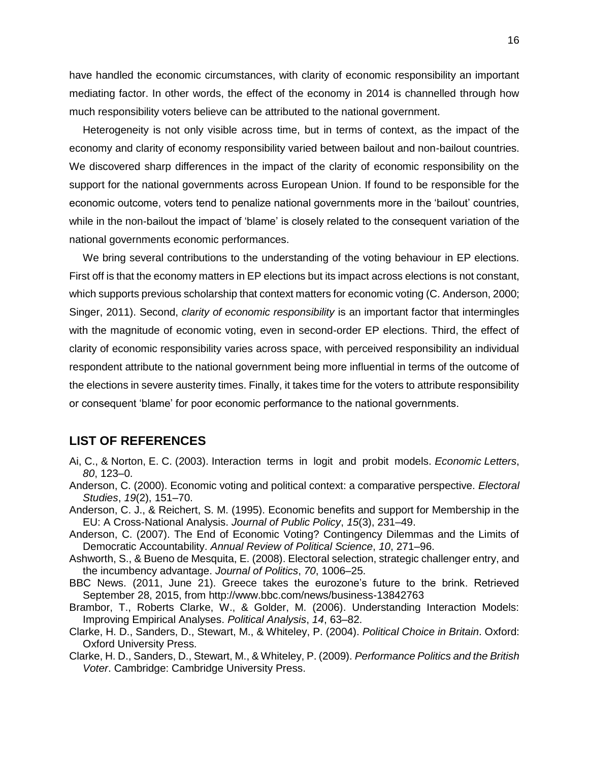have handled the economic circumstances, with clarity of economic responsibility an important mediating factor. In other words, the effect of the economy in 2014 is channelled through how much responsibility voters believe can be attributed to the national government.

Heterogeneity is not only visible across time, but in terms of context, as the impact of the economy and clarity of economy responsibility varied between bailout and non-bailout countries. We discovered sharp differences in the impact of the clarity of economic responsibility on the support for the national governments across European Union. If found to be responsible for the economic outcome, voters tend to penalize national governments more in the 'bailout' countries, while in the non-bailout the impact of 'blame' is closely related to the consequent variation of the national governments economic performances.

We bring several contributions to the understanding of the voting behaviour in EP elections. First off is that the economy matters in EP elections but its impact across elections is not constant, which supports previous scholarship that context matters for economic voting (C. Anderson, 2000; Singer, 2011). Second, *clarity of economic responsibility* is an important factor that intermingles with the magnitude of economic voting, even in second-order EP elections. Third, the effect of clarity of economic responsibility varies across space, with perceived responsibility an individual respondent attribute to the national government being more influential in terms of the outcome of the elections in severe austerity times. Finally, it takes time for the voters to attribute responsibility or consequent 'blame' for poor economic performance to the national governments.

# **LIST OF REFERENCES**

- Ai, C., & Norton, E. C. (2003). Interaction terms in logit and probit models. *Economic Letters*, *80*, 123–0.
- Anderson, C. (2000). Economic voting and political context: a comparative perspective. *Electoral Studies*, *19*(2), 151–70.
- Anderson, C. J., & Reichert, S. M. (1995). Economic benefits and support for Membership in the EU: A Cross-National Analysis. *Journal of Public Policy*, *15*(3), 231–49.
- Anderson, C. (2007). The End of Economic Voting? Contingency Dilemmas and the Limits of Democratic Accountability. *Annual Review of Political Science*, *10*, 271–96.
- Ashworth, S., & Bueno de Mesquita, E. (2008). Electoral selection, strategic challenger entry, and the incumbency advantage. *Journal of Politics*, *70*, 1006–25.
- BBC News. (2011, June 21). Greece takes the eurozone's future to the brink. Retrieved September 28, 2015, from http://www.bbc.com/news/business-13842763
- Brambor, T., Roberts Clarke, W., & Golder, M. (2006). Understanding Interaction Models: Improving Empirical Analyses. *Political Analysis*, *14*, 63–82.
- Clarke, H. D., Sanders, D., Stewart, M., & Whiteley, P. (2004). *Political Choice in Britain*. Oxford: Oxford University Press.
- Clarke, H. D., Sanders, D., Stewart, M., & Whiteley, P. (2009). *Performance Politics and the British Voter*. Cambridge: Cambridge University Press.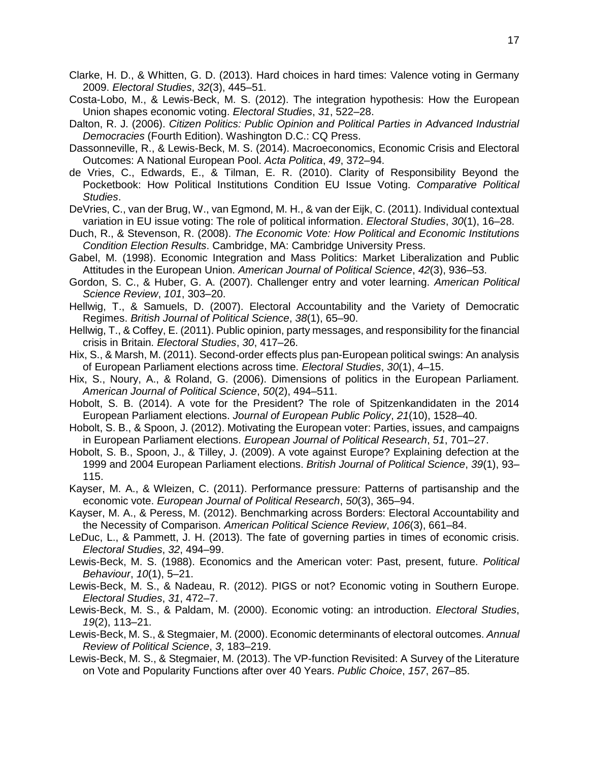- Clarke, H. D., & Whitten, G. D. (2013). Hard choices in hard times: Valence voting in Germany 2009. *Electoral Studies*, *32*(3), 445–51.
- Costa-Lobo, M., & Lewis-Beck, M. S. (2012). The integration hypothesis: How the European Union shapes economic voting. *Electoral Studies*, *31*, 522–28.
- Dalton, R. J. (2006). *Citizen Politics: Public Opinion and Political Parties in Advanced Industrial Democracies* (Fourth Edition). Washington D.C.: CQ Press.
- Dassonneville, R., & Lewis-Beck, M. S. (2014). Macroeconomics, Economic Crisis and Electoral Outcomes: A National European Pool. *Acta Politica*, *49*, 372–94.
- de Vries, C., Edwards, E., & Tilman, E. R. (2010). Clarity of Responsibility Beyond the Pocketbook: How Political Institutions Condition EU Issue Voting. *Comparative Political Studies*.
- DeVries, C., van der Brug, W., van Egmond, M. H., & van der Eijk, C. (2011). Individual contextual variation in EU issue voting: The role of political information. *Electoral Studies*, *30*(1), 16–28.
- Duch, R., & Stevenson, R. (2008). *The Economic Vote: How Political and Economic Institutions Condition Election Results*. Cambridge, MA: Cambridge University Press.
- Gabel, M. (1998). Economic Integration and Mass Politics: Market Liberalization and Public Attitudes in the European Union. *American Journal of Political Science*, *42*(3), 936–53.
- Gordon, S. C., & Huber, G. A. (2007). Challenger entry and voter learning. *American Political Science Review*, *101*, 303–20.
- Hellwig, T., & Samuels, D. (2007). Electoral Accountability and the Variety of Democratic Regimes. *British Journal of Political Science*, *38*(1), 65–90.
- Hellwig, T., & Coffey, E. (2011). Public opinion, party messages, and responsibility for the financial crisis in Britain. *Electoral Studies*, *30*, 417–26.
- Hix, S., & Marsh, M. (2011). Second-order effects plus pan-European political swings: An analysis of European Parliament elections across time. *Electoral Studies*, *30*(1), 4–15.
- Hix, S., Noury, A., & Roland, G. (2006). Dimensions of politics in the European Parliament. *American Journal of Political Science*, *50*(2), 494–511.
- Hobolt, S. B. (2014). A vote for the President? The role of Spitzenkandidaten in the 2014 European Parliament elections. *Journal of European Public Policy*, *21*(10), 1528–40.
- Hobolt, S. B., & Spoon, J. (2012). Motivating the European voter: Parties, issues, and campaigns in European Parliament elections. *European Journal of Political Research*, *51*, 701–27.
- Hobolt, S. B., Spoon, J., & Tilley, J. (2009). A vote against Europe? Explaining defection at the 1999 and 2004 European Parliament elections. *British Journal of Political Science*, *39*(1), 93– 115.
- Kayser, M. A., & Wleizen, C. (2011). Performance pressure: Patterns of partisanship and the economic vote. *European Journal of Political Research*, *50*(3), 365–94.
- Kayser, M. A., & Peress, M. (2012). Benchmarking across Borders: Electoral Accountability and the Necessity of Comparison. *American Political Science Review*, *106*(3), 661–84.
- LeDuc, L., & Pammett, J. H. (2013). The fate of governing parties in times of economic crisis. *Electoral Studies*, *32*, 494–99.
- Lewis-Beck, M. S. (1988). Economics and the American voter: Past, present, future. *Political Behaviour*, *10*(1), 5–21.
- Lewis-Beck, M. S., & Nadeau, R. (2012). PIGS or not? Economic voting in Southern Europe. *Electoral Studies*, *31*, 472–7.
- Lewis-Beck, M. S., & Paldam, M. (2000). Economic voting: an introduction. *Electoral Studies*, *19*(2), 113–21.
- Lewis-Beck, M. S., & Stegmaier, M. (2000). Economic determinants of electoral outcomes. *Annual Review of Political Science*, *3*, 183–219.
- Lewis-Beck, M. S., & Stegmaier, M. (2013). The VP-function Revisited: A Survey of the Literature on Vote and Popularity Functions after over 40 Years. *Public Choice*, *157*, 267–85.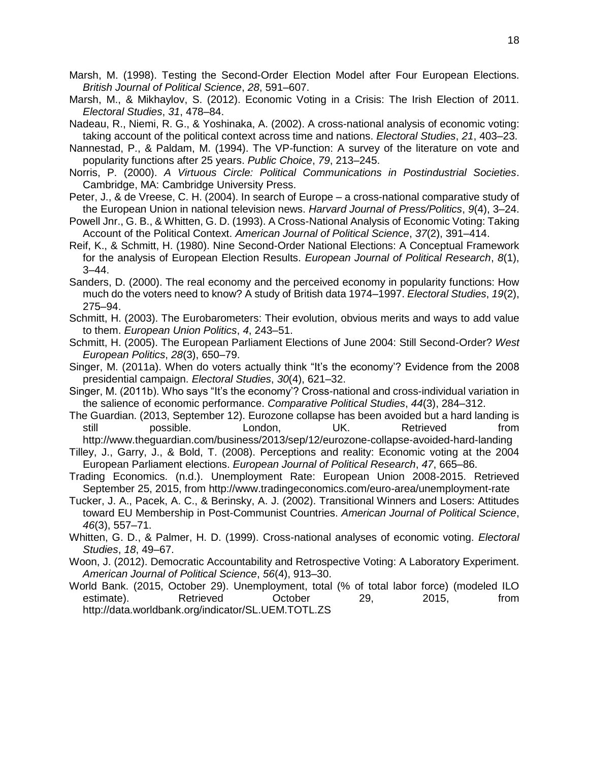- Marsh, M. (1998). Testing the Second-Order Election Model after Four European Elections. *British Journal of Political Science*, *28*, 591–607.
- Marsh, M., & Mikhaylov, S. (2012). Economic Voting in a Crisis: The Irish Election of 2011. *Electoral Studies*, *31*, 478–84.
- Nadeau, R., Niemi, R. G., & Yoshinaka, A. (2002). A cross-national analysis of economic voting: taking account of the political context across time and nations. *Electoral Studies*, *21*, 403–23.
- Nannestad, P., & Paldam, M. (1994). The VP-function: A survey of the literature on vote and popularity functions after 25 years. *Public Choice*, *79*, 213–245.
- Norris, P. (2000). *A Virtuous Circle: Political Communications in Postindustrial Societies*. Cambridge, MA: Cambridge University Press.
- Peter, J., & de Vreese, C. H. (2004). In search of Europe a cross-national comparative study of the European Union in national television news. *Harvard Journal of Press/Politics*, *9*(4), 3–24.
- Powell Jnr., G. B., & Whitten, G. D. (1993). A Cross-National Analysis of Economic Voting: Taking Account of the Political Context. *American Journal of Political Science*, *37*(2), 391–414.
- Reif, K., & Schmitt, H. (1980). Nine Second-Order National Elections: A Conceptual Framework for the analysis of European Election Results. *European Journal of Political Research*, *8*(1), 3–44.
- Sanders, D. (2000). The real economy and the perceived economy in popularity functions: How much do the voters need to know? A study of British data 1974–1997. *Electoral Studies*, *19*(2), 275–94.
- Schmitt, H. (2003). The Eurobarometers: Their evolution, obvious merits and ways to add value to them. *European Union Politics*, *4*, 243–51.
- Schmitt, H. (2005). The European Parliament Elections of June 2004: Still Second-Order? *West European Politics*, *28*(3), 650–79.
- Singer, M. (2011a). When do voters actually think "It's the economy'? Evidence from the 2008 presidential campaign. *Electoral Studies*, *30*(4), 621–32.
- Singer, M. (2011b). Who says "It's the economy'? Cross-national and cross-individual variation in the salience of economic performance. *Comparative Political Studies*, *44*(3), 284–312.
- The Guardian. (2013, September 12). Eurozone collapse has been avoided but a hard landing is still bossible. London, UK. Retrieved from http://www.theguardian.com/business/2013/sep/12/eurozone-collapse-avoided-hard-landing
- Tilley, J., Garry, J., & Bold, T. (2008). Perceptions and reality: Economic voting at the 2004 European Parliament elections. *European Journal of Political Research*, *47*, 665–86.
- Trading Economics. (n.d.). Unemployment Rate: European Union 2008-2015. Retrieved September 25, 2015, from http://www.tradingeconomics.com/euro-area/unemployment-rate
- Tucker, J. A., Pacek, A. C., & Berinsky, A. J. (2002). Transitional Winners and Losers: Attitudes toward EU Membership in Post-Communist Countries. *American Journal of Political Science*, *46*(3), 557–71.
- Whitten, G. D., & Palmer, H. D. (1999). Cross-national analyses of economic voting. *Electoral Studies*, *18*, 49–67.
- Woon, J. (2012). Democratic Accountability and Retrospective Voting: A Laboratory Experiment. *American Journal of Political Science*, *56*(4), 913–30.
- World Bank. (2015, October 29). Unemployment, total (% of total labor force) (modeled ILO estimate). Retrieved October 29, 2015, from http://data.worldbank.org/indicator/SL.UEM.TOTL.ZS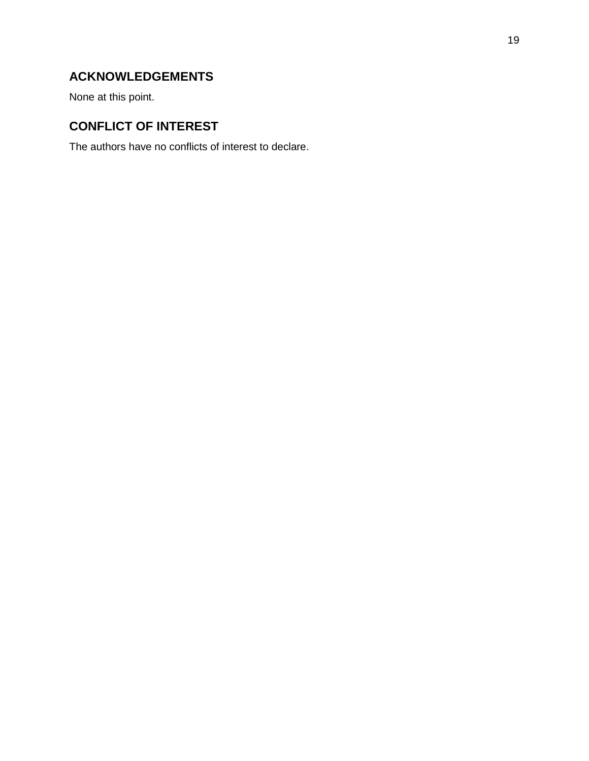# **ACKNOWLEDGEMENTS**

None at this point.

# **CONFLICT OF INTEREST**

The authors have no conflicts of interest to declare.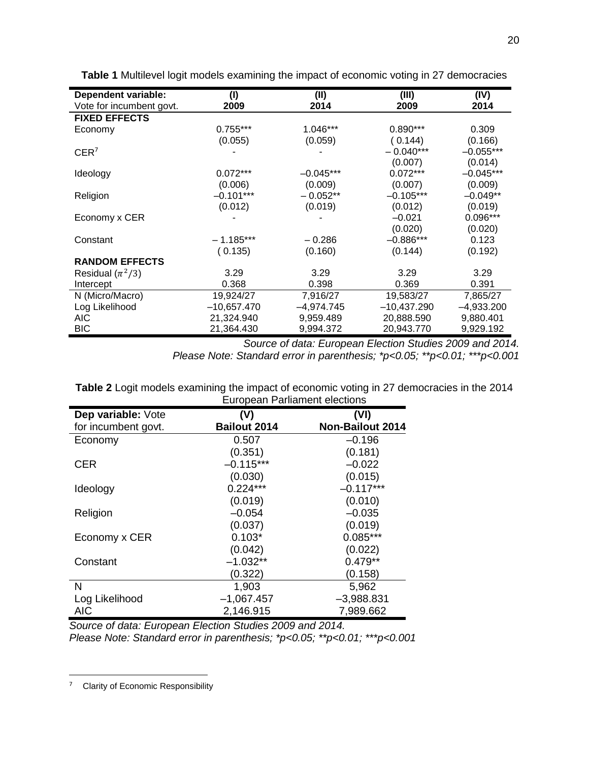| <b>Dependent variable:</b> | (1)           | (II)         | (III)         | (IV)         |
|----------------------------|---------------|--------------|---------------|--------------|
| Vote for incumbent govt.   | 2009          | 2014         | 2009          | 2014         |
| <b>FIXED EFFECTS</b>       |               |              |               |              |
| Economy                    | $0.755***$    | 1.046***     | $0.890***$    | 0.309        |
|                            | (0.055)       | (0.059)      | (0.144)       | (0.166)      |
| CER <sup>7</sup>           |               |              | $-0.040***$   | $-0.055***$  |
|                            |               |              | (0.007)       | (0.014)      |
| Ideology                   | $0.072***$    | $-0.045***$  | $0.072***$    | $-0.045***$  |
|                            | (0.006)       | (0.009)      | (0.007)       | (0.009)      |
| Religion                   | $-0.101***$   | $-0.052**$   | $-0.105***$   | $-0.049**$   |
|                            | (0.012)       | (0.019)      | (0.012)       | (0.019)      |
| Economy x CER              |               |              | $-0.021$      | 0.096***     |
|                            |               |              | (0.020)       | (0.020)      |
| Constant                   | $-1.185***$   | $-0.286$     | $-0.886***$   | 0.123        |
|                            | (0.135)       | (0.160)      | (0.144)       | (0.192)      |
| <b>RANDOM EFFECTS</b>      |               |              |               |              |
| Residual $(\pi^2/3)$       | 3.29          | 3.29         | 3.29          | 3.29         |
| Intercept                  | 0.368         | 0.398        | 0.369         | 0.391        |
| N (Micro/Macro)            | 19,924/27     | 7,916/27     | 19,583/27     | 7,865/27     |
| Log Likelihood             | $-10,657.470$ | $-4,974.745$ | $-10,437.290$ | $-4,933.200$ |
| AIC.                       | 21,324.940    | 9,959.489    | 20,888.590    | 9,880.401    |
| BIC                        | 21,364.430    | 9,994.372    | 20,943.770    | 9,929.192    |

**Table 1** Multilevel logit models examining the impact of economic voting in 27 democracies

*Source of data: European Election Studies 2009 and 2014. Please Note: Standard error in parenthesis; \*p<0.05; \*\*p<0.01; \*\*\*p<0.001*

|                     | <b>European Parliament elections</b> |                         |  |
|---------------------|--------------------------------------|-------------------------|--|
| Dep variable: Vote  | (V)                                  | (VI)                    |  |
| for incumbent govt. | <b>Bailout 2014</b>                  | <b>Non-Bailout 2014</b> |  |
| Economy             | 0.507                                | $-0.196$                |  |
|                     | (0.351)                              | (0.181)                 |  |
| CER                 | $-0.115***$                          | $-0.022$                |  |
|                     | (0.030)                              | (0.015)                 |  |
| Ideology            | $0.224***$                           | $-0.117***$             |  |
|                     | (0.019)                              | (0.010)                 |  |
| Religion            | $-0.054$                             | $-0.035$                |  |
|                     | (0.037)                              | (0.019)                 |  |
| Economy x CER       | $0.103*$                             | $0.085***$              |  |
|                     | (0.042)                              | (0.022)                 |  |
| Constant            | $-1.032**$                           | $0.479**$               |  |
|                     | (0.322)                              | (0.158)                 |  |
| N                   | 1,903                                | 5,962                   |  |
| Log Likelihood      | $-1,067.457$                         | $-3,988.831$            |  |
| <b>AIC</b>          | 2,146.915                            | 7,989.662               |  |

**Table 2** Logit models examining the impact of economic voting in 27 democracies in the 2014

*Source of data: European Election Studies 2009 and 2014. Please Note: Standard error in parenthesis; \*p<0.05; \*\*p<0.01; \*\*\*p<0.001*

 $\overline{\phantom{a}}$ 

<sup>&</sup>lt;sup>7</sup> Clarity of Economic Responsibility